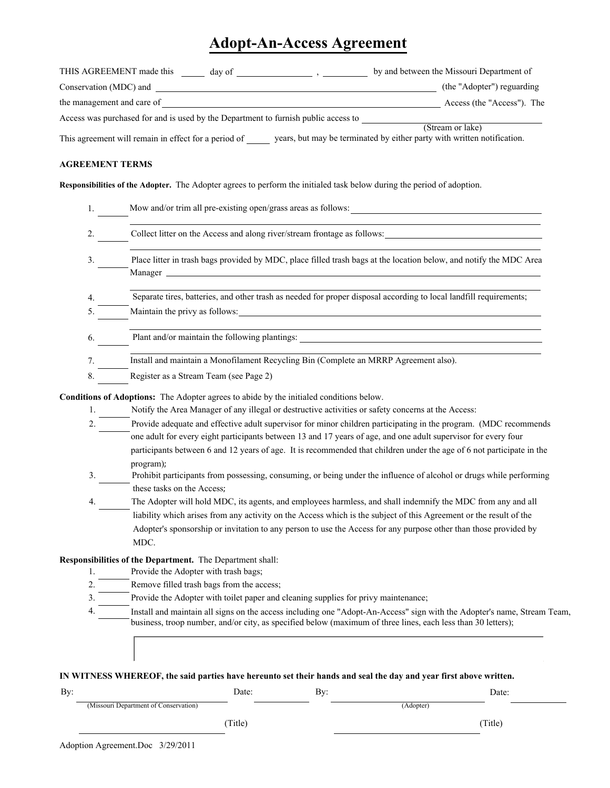## **Adopt-An-Access Agreement**

| THIS AGREEMENT made this<br>day of                                                 | by and between the Missouri Department of                               |  |
|------------------------------------------------------------------------------------|-------------------------------------------------------------------------|--|
| Conservation (MDC) and                                                             | (the "Adopter") reguarding                                              |  |
| the management and care of                                                         | Access (the "Access"). The                                              |  |
| Access was purchased for and is used by the Department to furnish public access to |                                                                         |  |
|                                                                                    | (Stream or lake)                                                        |  |
| This agreement will remain in effect for a period of                               | years, but may be terminated by either party with written notification. |  |
|                                                                                    |                                                                         |  |
|                                                                                    |                                                                         |  |

## **AGREEMENT TERMS**

Responsibilities of the Adopter. The Adopter agrees to perform the initialed task below during the period of adoption.

| Mow and/or trim all pre-existing open/grass areas as follows:                                                                                        |
|------------------------------------------------------------------------------------------------------------------------------------------------------|
| Collect litter on the Access and along river/stream frontage as follows:                                                                             |
| Place litter in trash bags provided by MDC, place filled trash bags at the location below, and notify the MDC Area                                   |
| Separate tires, batteries, and other trash as needed for proper disposal according to local landfill requirements;<br>Maintain the privy as follows: |
| Plant and/or maintain the following plantings:                                                                                                       |
| Install and maintain a Monofilament Recycling Bin (Complete an MRRP Agreement also).                                                                 |
| Register as a Stream Team (see Page 2)                                                                                                               |
|                                                                                                                                                      |

**Conditions of Adoptions:** The Adopter agrees to abide by the initialed conditions below.

- 1. Notify the Area Manager of any illegal or destructive activities or safety concerns at the Access:
- Provide adequate and effective adult supervisor for minor children participating in the program. (MDC recommends  $\overline{2}$ . one adult for every eight participants between 13 and 17 years of age, and one adult supervisor for every four participants between 6 and 12 years of age. It is recommended that children under the age of 6 not participate in the program);
- Prohibit participants from possessing, consuming, or being under the influence of alcohol or drugs while performing 3. these tasks on the Access;
- The Adopter will hold MDC, its agents, and employees harmless, and shall indemnify the MDC from any and all 4. liability which arises from any activity on the Access which is the subject of this Agreement or the result of the Adopter's sponsorship or invitation to any person to use the Access for any purpose other than those provided by MDC.

## **Responsibilities of the Department.** The Department shall:

- Provide the Adopter with trash bags; 1.
- $\overline{2}$ . Remove filled trash bags from the access;
- Provide the Adopter with toilet paper and cleaning supplies for privy maintenance;  $3.$
- $\overline{4}$ . Install and maintain all signs on the access including one "Adopt-An-Access" sign with the Adopter's name, Stream Team, business, troop number, and/or city, as specified below (maximum of three lines, each less than 30 letters);

| IN WITNESS WHEREOF, the said parties have hereunto set their hands and seal the day and year first above written. |  |
|-------------------------------------------------------------------------------------------------------------------|--|

| By: |                                       | Date:   | By: |           | Date:  |
|-----|---------------------------------------|---------|-----|-----------|--------|
|     | (Missouri Department of Conservation) |         |     | (Adopter) |        |
|     |                                       | (Title) |     |           | Title) |